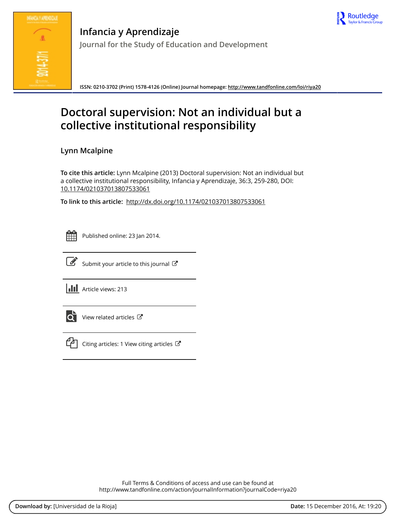



**Infancia y Aprendizaje Journal for the Study of Education and Development**

**ISSN: 0210-3702 (Print) 1578-4126 (Online) Journal homepage:<http://www.tandfonline.com/loi/riya20>**

# **Doctoral supervision: Not an individual but a collective institutional responsibility**

**Lynn Mcalpine**

**To cite this article:** Lynn Mcalpine (2013) Doctoral supervision: Not an individual but a collective institutional responsibility, Infancia y Aprendizaje, 36:3, 259-280, DOI: [10.1174/021037013807533061](http://www.tandfonline.com/action/showCitFormats?doi=10.1174/021037013807533061)

**To link to this article:** <http://dx.doi.org/10.1174/021037013807533061>

| -<br>_<br>- |  |  |  |  |
|-------------|--|--|--|--|
|             |  |  |  |  |
|             |  |  |  |  |
|             |  |  |  |  |

Published online: 23 Jan 2014.



 $\overline{\mathscr{L}}$  [Submit your article to this journal](http://www.tandfonline.com/action/authorSubmission?journalCode=riya20&show=instructions)  $\mathbb{Z}$ 

**III** Article views: 213



 $\overrightarrow{Q}$  [View related articles](http://www.tandfonline.com/doi/mlt/10.1174/021037013807533061)  $\overrightarrow{C}$ 



[Citing articles: 1 View citing articles](http://www.tandfonline.com/doi/citedby/10.1174/021037013807533061#tabModule)  $\mathbb{Z}$ 

Full Terms & Conditions of access and use can be found at <http://www.tandfonline.com/action/journalInformation?journalCode=riya20>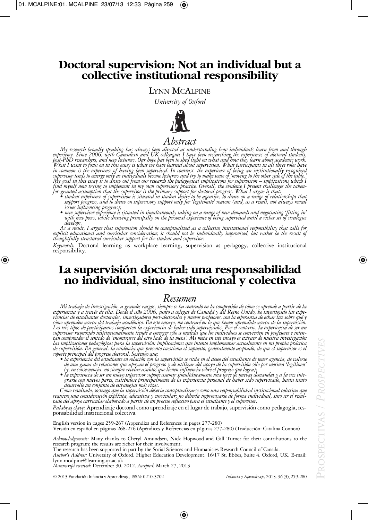## **Doctoral supervision: Not an individual but a collective institutional responsibility**

#### LYNN MCALPINE

*University of Oxford*



# *Abstract*

My research broadly speaking has always been directed at understanding how individuals learn from and through<br>experience. Since 2006, with Canadian and UK colleagues I have been researching the experiences of doctoral stud

- find myself now trying to implement in my own supervisory practice. Overall, the évidence I present challenges the taken-<br>for-granted assumption that the supervisor is the primary support for doctoral progress. What I argu
	-

with new peers, while drawing principally on the personal experience of being supervised until a richer set of strategies<br>develops.<br>As a result, I argue that supervision should be conceptualized as a collective institution

*Keywords:* Doctoral learning as workplace learning, supervision as pedagogy, collective institutional responsibility.

## **La supervisión doctoral: una responsabilidad no individual, sino institucional y colectiva**

## *Resumen*

Mi trabajo de investigación, a grandes rasgos, siempre se ha centrado en la compresión de cómo se apereiracia y a través de ella. Desde el año 2006, junto a colegas de Canadá y del Reino Unido, he investigado las experienc

- 
- 
- 

*Palabras clave:* Aprendizaje doctoral como aprendizaje en el lugar de trabajo, supervisión como pedagogía, res-<br>ponsabilidad institucional colectiva.

English version in pages 259-267 (Appendixs and References in pages 277-280) Versión en español en páginas 268-276 (Apéndices y Referencias en páginas 277-280) (Traducción: Catalina Connon)

Acknowledgements: Many thanks to Cheryl Amundsen, Nick Hopwood and Gill Turner for their contributions to the research program; the results are richer for their involvement.<br>The research has been supported in part by the S

*Manuscript received:* December 30, 2012. *Accepted:* March 27, 2013

© 2013 Fundación Infancia y Aprendizaje, ISSN: 0210-3702 *Infancia y Aprendizaje,* 2013*, 36* (3), 259-280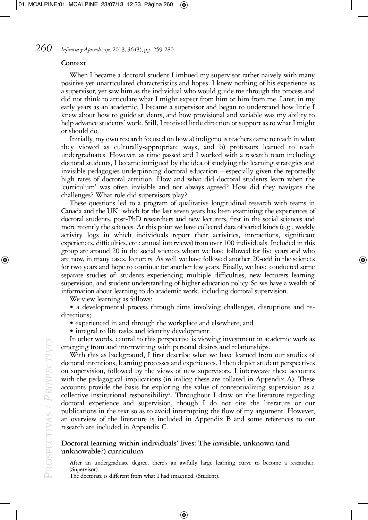#### **Context**

When I became a doctoral student I imbued my supervisor rather naively with many positive yet unarticulated characteristics and hopes. I knew nothing of his experience as a supervisor, yet saw him as the individual who would guide me through the process and did not think to articulate what I might expect from him or him from me. Later, in my early years as an academic, I became a supervisor and began to understand how little I knew about how to guide students, and how provisional and variable was my ability to help advance students' work. Still, I received little direction or support as to what I might or should do.

Initially, my own research focused on how a) indigenous teachers came to teach in what they viewed as culturally-appropriate ways, and b) professors learned to teach undergraduates. However, as time passed and I worked with a research team including doctoral students, I became intrigued by the idea of studying the learning strategies and invisible pedagogies underpinning doctoral education – especially given the reportedly high rates of doctoral attrition. How and what did doctoral students learn when the 'curriculum' was often invisible and not always agreed? How did they navigate the challenges? What role did supervisors play?

These questions led to a program of qualitative longitudinal research with teams in Canada and the  $UK<sup>1</sup>$  which for the last seven years has been examining the experiences of doctoral students, post-PhD researchers and new lecturers, first in the social sciences and more recently the sciences. At this point we have collected data of varied kinds (e.g., weekly activity logs in which individuals report their activities, interactions, significant experiences, difficulties,etc.;annual interviews) from over 100 individuals. Included in this group are around 20 in the social sciences whom we have followed for five years and who are now, in many cases, lecturers. As well we have followed another 20-odd in the sciences for two years and hope to continue for another few years. Finally, we have conducted some separate studies of: students experiencing multiple difficulties, new lecturers learning supervision, and student understanding of higher education policy. So we have a wealth of information about learning to do academic work, including doctoral supervision.

We view learning as follows:

• a developmental process through time involving challenges, disruptions and redirections;

• experienced in and through the workplace and elsewhere; and

• integral to life tasks and identity development.

In other words, central to this perspective is viewing investment in academic work as emerging from and intertwining with personal desires and relationships.

With this as background, I first describe what we have learned from our studies of doctoral intentions, learning processesand experiences. I then depict student perspectives on supervision, followed by the views of new supervisors. I interweave these accounts with the pedagogical implications (in italics; these are collated in Appendix A). These accounts provide the basis for exploring the value of conceptualizing supervision as a collective institutional responsibility<sup>2</sup>. Throughout I draw on the literature regarding doctoral experience and supervision, though I do not cite the literature or our publications in the text so as to avoid interrupting the flow of my argument. However, an overview of the literature is included in Appendix B and some references to our research are included in Appendix C.

#### **Doctoral learning within individuals' lives: The invisible, unknown (and unknowable?) curriculum**

After an undergraduate degree, there's an awfully large learning curve to become a researcher. (Supervisor).

The doctorate is different from what I had imagined. (Student).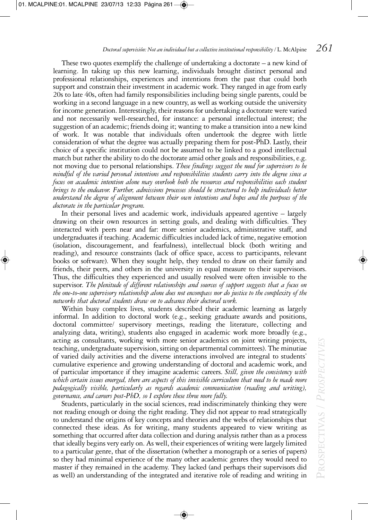These two quotes exemplify the challenge of undertaking a doctorate  $-$  a new kind of learning. In taking up this new learning, individuals brought distinct personal and professional relationships, experiences and intentions from the past that could both support and constrain their investment in academic work. They ranged in age from early 20s to late 40s, often had family responsibilities including being single parents, could be working in a second language in a new country, as well as working outside the university for income generation. Interestingly, their reasons for undertaking a doctorate were varied and not necessarily well-researched, for instance: a personal intellectual interest; the suggestion of an academic; friends doing it; wanting to make a transition into a new kind of work. It was notable that individuals often undertook the degree with little consideration of what the degree was actually preparing them for post-PhD. Lastly, their choice of a specific institution could not be assumed to be linked to a good intellectual match but rather the ability to do the doctorate amid other goals and responsibilities, e.g. not moving due to personal relationships. *These findings suggest the need for supervisors to be mindful of the varied personal intentions and responsibilities students carry into the degree since a focus on academic intention alone may overlook both the resources and responsibilities each student brings to the endeavor. Further, admissions processes should be structured to help individuals better understand the degree of alignment between their own intentions and hopes and the purposes of the doctorate in the particular program.*

In their personal lives and academic work, individuals appeared agentive – largely drawing on their own resources in setting goals, and dealing with difficulties. They interacted with peers near and far: more senior academics, administrative staff, and undergraduates if teaching. Academic difficulties included lack of time, negative emotion (isolation, discouragement, and fearfulness), intellectual block (both writing and reading), and resource constraints (lack of office space, access to participants, relevant books or software). When they sought help, they tended to draw on their family and friends, their peers, and others in the university in equal measure to their supervisors. Thus, the difficulties they experienced and usually resolved were often invisible to the supervisor. *The plenitude of different relationships and sources of support suggests that a focus on the one-to-one supervisory relationship alone does not encompass nor do justice to the complexity of the networks that doctoral students draw on to advance their doctoral work.*

Within busy complex lives, students described their academic learning as largely informal. In addition to doctoral work (e.g., seeking graduate awards and positions, doctoral committee/ supervisory meetings, reading the literature, collecting and analyzing data, writing), students also engaged in academic work more broadly (e.g., acting as consultants, working with more senior academics on joint writing projects, teaching, undergraduate supervision, sitting on departmental committees). The minutiae of varied daily activities and the diverse interactions involved are integral to students' cumulative experience and growing understanding of doctoral and academic work, and of particular importance if they imagine academic careers. *Still, given the consistency with which certain issues emerged, there are aspects of this invisible curriculum that need to be made more pedagogically visible, particularly as regards academic communication (reading and writing), governance, and careers post-PhD, so I explore these three more fully.*

Students, particularly in the social sciences, read indiscriminately thinking they were not reading enough or doing the right reading. They did not appear to read strategically to understand the origins of key concepts and theories and the webs of relationships that connected these ideas. As for writing, many students appeared to view writing as something that occurred after data collection and during analysis rather than as a process that ideally begins very early on. As well, their experiences of writing were largely limited to a particular genre, that of the dissertation (whether a monograph or a series of papers) so they had minimal experience of the many other academic genres they would need to master if they remained in the academy. They lacked (and perhaps their supervisors did as well) an understanding of the integrated and iterative role of reading and writing in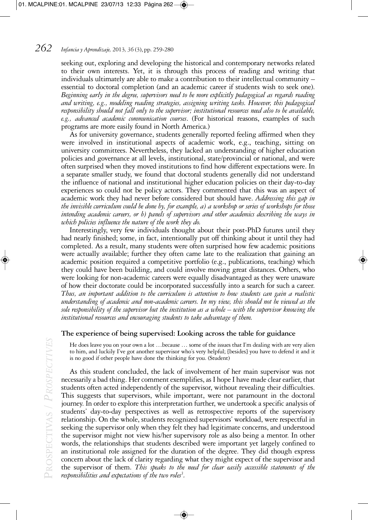seeking out, exploring and developing the historical and contemporary networks related to their own interests. Yet, it is through this process of reading and writing that individuals ultimately are able to make a contribution to their intellectual community – essential to doctoral completion (and an academic career if students wish to seek one). *Beginning early in the degree, supervisors need to be more explicitly pedagogical as regards reading and writing, e.g., modeling reading strategies, assigning writing tasks. However, this pedagogical responsibility should not fall only to the supervisor; institutional resources need also to be available, e.g., advanced academic communication courses*. (For historical reasons, examples of such programs are more easily found in North America.)

As for university governance, students generally reported feeling affirmed when they were involved in institutional aspects of academic work, e.g., teaching, sitting on university committees. Nevertheless, they lacked an understanding of higher education policies and governance at all levels, institutional, state/provincial or national, and were often surprised when they moved institutions to find how different expectations were. In a separate smaller study, we found that doctoral students generally did not understand the influence of national and institutional higher education policies on their day-to-day experiences so could not be policy actors. They commented that this was an aspect of academic work they had never before considered but should have. *Addressing this gap in* the invisible curriculum could be done by, for example, a) a workshop or series of workshops for those *intending academic careers, or b) panels of supervisors and other academics describing the ways in which policies influence the nature of the work they do.*

Interestingly, very few individuals thought about their post-PhD futures until they had nearly finished; some, in fact, intentionally put off thinking about it until they had completed. As a result, many students were often surprised how few academic positions were actually available; further they often came late to the realization that gaining an academic position required a competitive portfolio (e.g., publications, teaching) which they could have been building, and could involve moving great distances. Others, who were looking for non-academic careers were equally disadvantaged as they were unaware of how their doctorate could be incorporated successfully into a search for such a career. *Thus, an important addition to the curriculum is attention to how students can gain a realistic understanding of academic and non-academic careers. In my view, this should not be viewed as the sole responsibility of the supervisor but the institution as a whole – with the supervisor knowing the institutional resources and encouraging students to take advantage of them.*

#### **The experience of being supervised: Looking across the table for guidance**

He does leave you on your own a lot …because … some of the issues that I'm dealing with are very alien to him, and luckily I've got another supervisor who's very helpful; [besides] you have to defend it and it is no good if other people have done the thinking for you. (Student)

As this student concluded, the lack of involvement of her main supervisor was not necessarily a bad thing. Her comment exemplifies, as I hope I have made clear earlier, that students often acted independently of the supervisor, without revealing their difficulties. This suggests that supervisors, while important, were not paramount in the doctoral journey. In order to explore this interpretation further, we undertook a specific analysis of students' day-to-day perspectives as well as retrospective reports of the supervisory relationship. On the whole, students recognized supervisors' workload, were respectful in seeking the supervisor only when they felt they had legitimate concerns, and understood the supervisor might not view his/her supervisory role as also being a mentor. In other words, the relationships that students described were important yet largely confined to an institutional role assigned for the duration of the degree. They did though express concern about the lack of clarity regarding what they might expect of the supervisor and the supervisor of them. *This speaks to the need for clear easily accessible statements of the responsibilities and expectations of the two roles 3 .*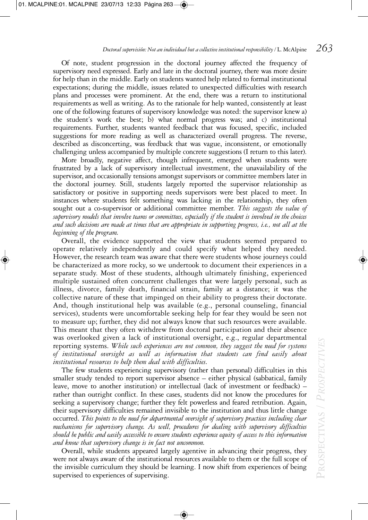Of note, student progression in the doctoral journey affected the frequency of supervisory need expressed. Early and late in the doctoral journey, there was more desire for help than in the middle. Early on students wanted help related to formal institutional expectations; during the middle, issues related to unexpected difficulties with research plans and processes were prominent. At the end, there was a return to institutional requirements as well as writing. As to the rationale for help wanted, consistently at least one of the following features of supervisory knowledge was noted: the supervisor knew a) the student's work the best; b) what normal progress was; and c) institutional requirements. Further, students wanted feedback that was focused, specific, included suggestions for more reading as well as characterized overall progress. The reverse, described as disconcerting, was feedback that was vague, inconsistent, or emotionally challenging unless accompanied by multiple concrete suggestions (I return to this later).

More broadly, negative affect, though infrequent, emerged when students were frustrated by a lack of supervisory intellectual investment, the unavailability of the supervisor, and occasionally tensions amongst supervisors or committee members later in the doctoral journey. Still, students largely reported the supervisor relationship as satisfactory or positive in supporting needs supervisors were best placed to meet. In instances where students felt something was lacking in the relationship, they often sought out a co-supervisor or additional committee member. *This suggests the value of supervisory models that involve teams or committees, especially if the student is involved in the choices* and such decisions are made at times that are appropriate in supporting progress, i.e., not all at the *beginning of the program.*

Overall, the evidence supported the view that students seemed prepared to operate relatively independently and could specify what helped they needed. However, the research team was aware that there were students whose journeys could be characterized as more rocky, so we undertook to document their experiences in a separate study. Most of these students, although ultimately finishing, experienced multiple sustained often concurrent challenges that were largely personal, such as illness, divorce, family death, financial strain, family at a distance; it was the collective nature of these that impinged on their ability to progress their doctorate. And, though institutional help was available (e.g., personal counseling, financial services), students were uncomfortable seeking help for fear they would be seen not to measure up; further, they did not always know that such resources were available. This meant that they often withdrew from doctoral participation and their absence was overlooked given a lack of institutional oversight, e.g., regular departmental reporting systems. *While such experiences are not common, they suggest the need for systems of institutional oversight as well as information that students can find easily about institutional resources to help them deal with difficulties.*

The few students experiencing supervisory (rather than personal) difficulties in this smaller study tended to report supervisor absence – either physical (sabbatical, family leave, move to another institution) or intellectual (lack of investment or feedback) – rather than outright conflict. In these cases, students did not know the procedures for seeking a supervisory change; further they felt powerless and feared retribution. Again, their supervisory difficulties remained invisible to the institution and thus little change occurred. *This points to the need for departmental oversight of supervisory practices including clear mechanisms for supervisory change. As well, procedures for dealing with supervisory difficulties should be public and easily accessible to ensure students experience equity of access to this information and know that supervisory change is in fact not uncommon.*

Overall, while students appeared largely agentive in advancing their progress, they were not always aware of the institutional resources available to them or the full scope of the invisible curriculum they should be learning. I now shift from experiences of being supervised to experiences of supervising.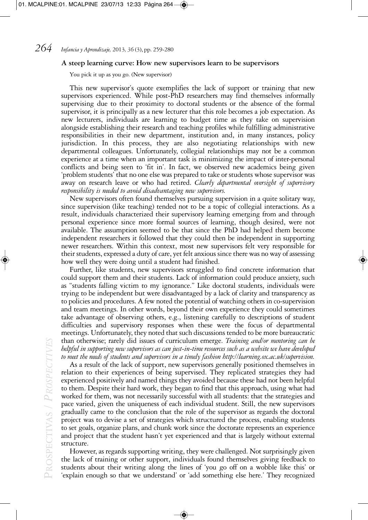#### **A steep learning curve: How new supervisors learn to be supervisors**

You pick it up as you go. (New supervisor)

This new supervisor's quote exemplifies the lack of support or training that new supervisors experienced. While post-PhD researchers may find themselves informally supervising due to their proximity to doctoral students or the absence of the formal supervisor, it is principally as a new lecturer that this role becomes a job expectation. As new lecturers, individuals are learning to budget time as they take on supervision alongside establishing their research and teaching profiles while fulfilling administrative responsibilities in their new department, institution and, in many instances, policy jurisdiction. In this process, they are also negotiating relationships with new departmental colleagues. Unfortunately, collegial relationships may not be a common experience at a time when an important task is minimizing the impact of inter-personal conflicts and being seen to 'fit in'. In fact, we observed new academics being given 'problem students' that no one else was prepared to take or students whose supervisor was away on research leave or who had retired. *Clearly departmental oversight of supervisory responsibility is needed to avoid disadvantaging new supervisors.*

New supervisors often found themselves pursuing supervision in a quite solitary way, since supervision (like teaching) tended not to be a topic of collegial interactions. As a result, individuals characterized their supervisory learning emerging from and through personal experience since more formal sources of learning, though desired, were not available. The assumption seemed to be that since the PhD had helped them become independent researchers it followed that they could then be independent in supporting newer researchers. Within this context, most new supervisors felt very responsible for their students, expressed a duty of care, yet felt anxious since there was no way of assessing how well they were doing until a student had finished.

Further, like students, new supervisors struggled to find concrete information that could support them and their students. Lack of information could produce anxiety, such as "students falling victim to my ignorance." Like doctoral students, individuals were trying to be independent but were disadvantaged by a lack of clarity and transparency as to policiesand procedures. A few noted the potential of watching others in co-supervision and team meetings. In other words, beyond their own experience they could sometimes take advantage of observing others, e.g., listening carefully to descriptions of student difficulties and supervisory responses when these were the focus of departmental meetings. Unfortunately, they noted that such discussions tended to be more bureaucratic than otherwise; rarely did issues of curriculum emerge. *Training and/or mentoring can be helpful in supporting new supervisors as can just-in-time resources such as a website we have developed to meet the needs of students and supervisors in a timely fashion http://learning.ox.ac.uk/supervision.*

As a result of the lack of support, new supervisors generally positioned themselves in relation to their experiences of being supervised. They replicated strategies they had experienced positively and named things they avoided becausethese had not been helpful to them. Despite their hard work, they began to find that this approach, using what had worked for them, was not necessarily successful with all students: that the strategies and pace varied, given the uniqueness of each individual student. Still, the new supervisors gradually came to the conclusion that the role of the supervisor as regards the doctoral project was to devise a set of strategies which structured the process, enabling students to set goals, organize plans, and chunk work since the doctorate represents an experience and project that the student hasn't yet experienced and that is largely without external structure.

However, as regards supporting writing, they were challenged. Not surprisingly given the lack of training or other support, individuals found themselves giving feedback to students about their writing along the lines of 'you go off on a wobble like this' or 'explain enough so that we understand' or 'add something else here.' They recognized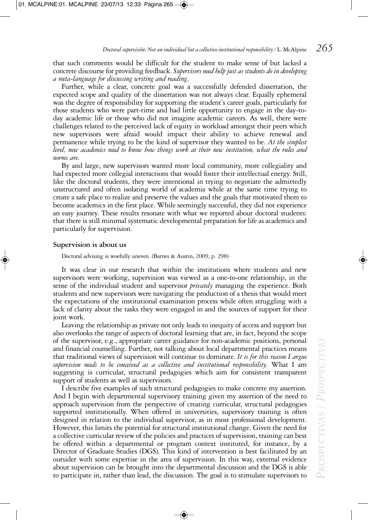that such comments would be difficult for the student to make sense of but lacked a concrete discoursefor providing feedback. *Supervisors need helpjust as students do in developing a meta-language for discussing writing and reading*.

Further, while a clear, concrete goal was a successfully defended dissertation, the expected scope and quality of the dissertation was not always clear. Equally ephemeral was the degree of responsibility for supporting the student's career goals, particularly for those students who were part-time and had little opportunity to engage in the day-today academic life or those who did not imagine academic careers. As well, there were challenges related to the perceived lack of equity in workload amongst their peers which new supervisors were afraid would impact their ability to achieve renewal and permanence while trying to be the kind of supervisor they wanted to be. *At the simplest level, new academics need to know how things work at their new institution, what the rules and norms are.*

By and large, new supervisors wanted more local community, more collegiality and had expected more collegial interactions that would foster their intellectual energy. Still, like the doctoral students, they were intentional in trying to negotiate the admittedly unstructured and often isolating world of academia while at the same time trying to create a safe place to realize and preserve the values and the goals that motivated them to become academics in the first place. While seemingly successful, they did not experience an easy journey. These results resonate with what we reported about doctoral students: that there is still minimal systematic developmental preparation for life as academics and particularly for supervision.

#### **Supervision is about us**

Doctoral advising is woefully uneven. (Barnes & Austin, 2009, p. 298)

It was clear in our research that within the institutions where students and new supervisors were working, supervision was viewed as a one-to-one relationship, in the sense of the individual student and supervisor *privately* managing the experience. Both students and new supervisors were navigating the production of a thesis that would meet the expectations of the institutional examination process while often struggling with a lack of clarity about the tasks they were engaged in and the sources of support for their joint work.

Leaving the relationship as private not only leads to inequity of access and support but also overlooks the range of aspects of doctoral learning that are, in fact, beyond the scope of the supervisor, e.g., appropriate career guidance for non-academic positions, personal and financial counselling. Further, not talking about local departmental practices means that traditional views of supervision will continue to dominate*. It is for this reason I argue supervision needs to be conceived as a collective and institutional responsibility.* What I am suggesting is curricular, structural pedagogies which aim for consistent transparent support of students as well as supervisors.

I describe five examples of such structural pedagogies to make concrete my assertion. And I begin with departmental supervisory training given my assertion of the need to approach supervision from the perspective of creating curricular, structural pedagogies supported institutionally. When offered in universities, supervisory training is often designed in relation to the individual supervisor, as in most professional development. However, this limits the potential for structural institutional change. Given the need for a collective curricular review of the policies and practices of supervision, training can best be offered within a departmental or program context instituted, for instance, by a Director of Graduate Studies (DGS). This kind of intervention is best facilitated by an outsider with some expertise in the area of supervision. In this way, external evidence about supervision can be brought into the departmental discussion and the DGS is able to participate in, rather than lead, the discussion. The goal is to stimulate supervisors to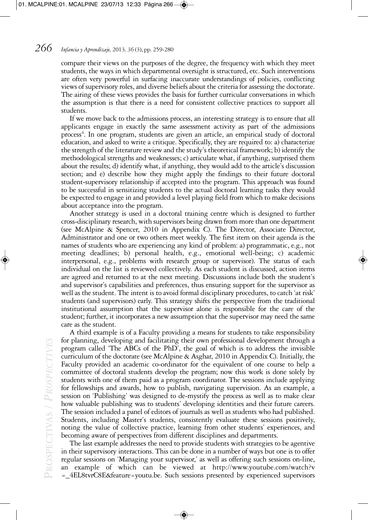compare their views on the purposes of the degree, the frequency with which they meet students, the ways in which departmental oversight is structured, etc. Such interventions are often very powerful in surfacing inaccurate understandings of policies, conflicting views of supervisory roles,and diverse beliefsabout thecriteriaforassessing the doctorate. The airing of these views provides the basis for further curricular conversations in which the assumption is that there is a need for consistent collective practices to support all students.

If we move back to the admissions process, an interesting strategy is to ensure that all applicants engage in exactly the same assessment activity as part of the admissions process 4 . In one program, students are given an article, an empirical study of doctoral education, and asked to write a critique. Specifically, they are required to: a) characterize the strength of the literature review and the study's theoretical framework; b) identify the methodological strengths and weaknesses; c) articulate what, if anything, surprised them about the results; d) identify what, if anything, they would add to the article's discussion section; and e) describe how they might apply the findings to their future doctoral student-supervisory relationship if accepted into the program. This approach was found to be successful in sensitizing students to the actual doctoral learning tasks they would be expected to engage in and provided a level playing field from which to make decisions about acceptance into the program.

Another strategy is used in a doctoral training centre which is designed to further cross-disciplinary research, with supervisors being drawn from morethan one department (see McAlpine & Spencer, 2010 in Appendix C). The Director, Associate Director, Administrator and one or two others meet weekly. The first item on their agenda is the names of students who are experiencing any kind of problem: a) programmatic, e.g., not meeting deadlines; b) personal health, e.g., emotional well-being; c) academic interpersonal, e.g., problems with research group or supervisor). The status of each individual on the list is reviewed collectively. As each student is discussed, action items are agreed and returned to at the next meeting. Discussions include both the student's and supervisor's capabilities and preferences, thus ensuring support for the supervisor as well as the student. The intent is to avoid formal disciplinary procedures, to catch 'at risk' students (and supervisors) early. This strategy shifts the perspective from the traditional institutional assumption that the supervisor alone is responsible for the care of the student; further, it incorporates a new assumption that the supervisor may need the same care as the student.

A third example is of a Faculty providing a means for students to take responsibility for planning, developing and facilitating their own professional development through a program called 'The ABCs of the PhD', the goal of which is to address the invisible curriculum of the doctorate (see McAlpine & Asghar, 2010 in Appendix C). Initially, the Faculty provided an academic co-ordinator for the equivalent of one course to help a committee of doctoral students develop the program; now this work is done solely by students with one of them paid as a program coordinator. The sessions include applying for fellowships and awards, how to publish, navigating supervision. As an example, a session on 'Publishing' was designed to de-mystify the process as well as to make clear how valuable publishing was to students' developing identities and their future careers. The session included a panel of editors of journals as well as students who had published. Students, including Master's students, consistently evaluate these sessions positively, noting the value of collective practice, learning from other students' experiences, and becoming aware of perspectives from different disciplines and departments.

The last example addresses the need to provide students with strategies to be agentive in their supervisory interactions. This can be done in a number of ways but one is to offer regular sessions on 'Managing your supervisor,' as well as offering such sessions on-line, an example of which can be viewed at http://www.youtube.com/watch?v =\_4EL8tvrC8E&feature=youtu.be. Such sessions presented by experienced supervisors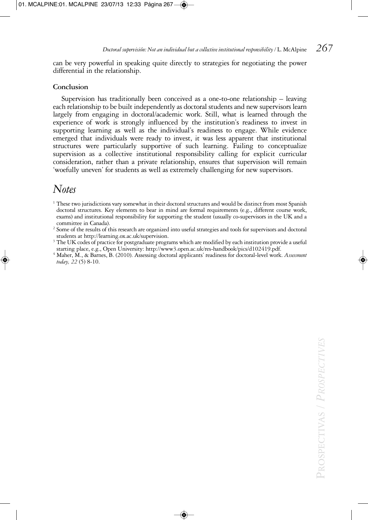can be very powerful in speaking quite directly to strategies for negotiating the power differential in the relationship.

#### **Conclusion**

Supervision has traditionally been conceived as a one-to-one relationship – leaving each relationship to be built independently as doctoral students and new supervisors learn largely from engaging in doctoral/academic work. Still, what is learned through the experience of work is strongly influenced by the institution's readiness to invest in supporting learning as well as the individual's readiness to engage. While evidence emerged that individuals were ready to invest, it was less apparent that institutional structures were particularly supportive of such learning. Failing to conceptualize supervision as a collective institutional responsibility calling for explicit curricular consideration, rather than a private relationship, ensures that supervision will remain 'woefully uneven' for students as well as extremely challenging for new supervisors.

## *Notes*

<sup>1</sup> These two jurisdictions vary somewhat in their doctoral structures and would be distinct from most Spanish doctoral structures. Key elements to bear in mind are formal requirements (e.g., different course work, exams) and institutional responsibility for supporting the student (usually co-supervisors in the UK and a committee in Canada).<br>
<sup>2</sup> Some of the results of this research are organized into useful strategies and tools for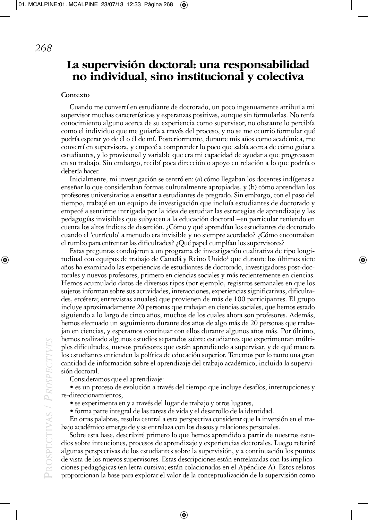# **La supervisión doctoral: una responsabilidad no individual, sino institucional y colectiva**

#### **Contexto**

Cuando me convertí en estudiante de doctorado, un poco ingenuamente atribuí a mi supervisor muchas características y esperanzas positivas, aunque sin formularlas. No tenía conocimiento alguno acerca de su experiencia como supervisor, no obstante lo percibía como el individuo que me guiaría a través del proceso, y no se me ocurrió formular qué podría esperar yo de él o él de mí. Posteriormente, durante mis años como académica, me convertí en supervisora, y empecé a comprender lo poco que sabía acerca de cómo guiar a estudiantes, y lo provisional y variable que era mi capacidad de ayudar a que progresasen en su trabajo. Sin embargo, recibí poca dirección o apoyo en relación a lo que podría o debería hacer.

Inicialmente, mi investigación se centró en: (a) cómo llegaban los docentes indígenas a enseñar lo que consideraban formas culturalmente apropiadas, y (b) cómo aprendían los profesores universitarios a enseñar a estudiantes de pregrado. Sin embargo, con el paso del tiempo, trabajé en un equipo de investigación que incluía estudiantes de doctorado y empecé a sentirme intrigada por la idea de estudiar las estrategias de aprendizaje y las pedagogías invisibles que subyacen a la educación doctoral –en particular teniendo en cuentalosaltos índices de deserción.¿Cómo y quéaprendían losestudiantes de doctorado cuando el 'currículo' a menudo era invisible y no siempre acordado? ¿Cómo encontraban el rumbo para enfrentar las dificultades? ¿Qué papel cumplían los supervisores?

Estas preguntas condujeron a un programa de investigación cualitativa de tipo longitudinal con equipos de trabajo de Canadá y Reino Unido<sup>1</sup> que durante los últimos siete años ha examinado las experiencias de estudiantes de doctorado, investigadores post-doctorales y nuevos profesores, primero en ciencias sociales y más recientemente en ciencias. Hemos acumulado datos de diversos tipos (por ejemplo, registros semanales en que los sujetos informan sobre sus actividades, interacciones, experiencias significativas, dificultades, etcétera; entrevistas anuales) que provienen de más de 100 participantes. El grupo incluye aproximadamente 20 personas que trabajan en ciencias sociales, que hemos estado siguiendo a lo largo de cinco años, muchos de los cuales ahora son profesores. Además, hemos efectuado un seguimiento durante dos años de algo más de 20 personas que trabajan en ciencias, y esperamos continuar con ellos durante algunos años más. Por último, hemos realizado algunos estudios separados sobre: estudiantes que experimentan múltiples dificultades, nuevos profesores que están aprendiendo a supervisar, y de qué manera los estudiantes entienden la política de educación superior. Tenemos por lo tanto una gran cantidad de información sobre el aprendizaje del trabajo académico, incluida la supervisión doctoral.

Consideramos que el aprendizaje:

• es un proceso de evolución a través del tiempo que incluye desafíos, interrupciones y re-direccionamientos,

· se experimenta en y a través del lugar de trabajo y otros lugares,

• forma parte integral de las tareas de vida y el desarrollo de la identidad.

En otras palabras, resultacentralaesta perspectivaconsiderar quelainversión en el trabajo académico emerge de y se entrelaza con los deseos y relaciones personales.

Sobre esta base, describiré primero lo que hemos aprendido a partir de nuestros estudios sobre intenciones, procesos de aprendizaje y experiencias doctorales. Luego referiré algunas perspectivas de los estudiantes sobre la supervisión, y a continuación los puntos de vista de los nuevos supervisores. Estas descripciones están entrelazadas con las implicaciones pedagógicas (en letra cursiva; están colacionadas en el Apéndice A). Estos relatos proporcionan la base para explorar el valor de la conceptualización de la supervisión como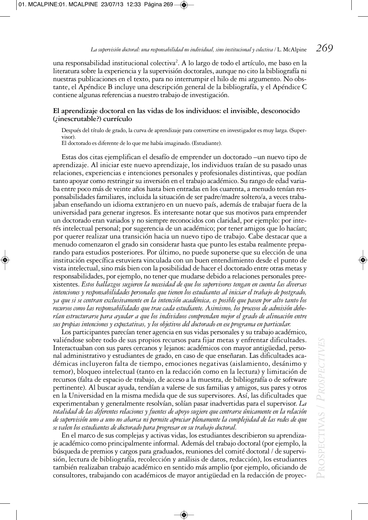una responsabilidad institucional colectiva<sup>2</sup>. A lo largo de todo el artículo, me baso en la literatura sobre la experiencia y la supervisión doctorales, aunque no cito la bibliografía ni nuestras publicaciones en el texto, para no interrumpir el hilo de mi argumento. No obstante, el Apéndice B incluye una descripción general de la bibliografía, y el Apéndice C contiene algunas referencias a nuestro trabajo de investigación.

#### **El aprendizaje doctoral en las vidas de los individuos: el invisible, desconocido (¿inescrutable?) currículo**

Después del título de grado, la curva de aprendizaje para convertirse en investigador es muy larga. (Supervisor).

El doctorado es diferente de lo que me había imaginado. (Estudiante).

Estas dos citas ejemplifican el desafío de emprender un doctorado –un nuevo tipo de aprendizaje. Al iniciar este nuevo aprendizaje, los individuos traían de su pasado unas relaciones, experiencias e intenciones personales y profesionales distintivas, que podían tanto apoyar como restringir su inversión en el trabajo académico. Su rango de edad variaba entre poco más de veinte años hasta bien entradas en los cuarenta, a menudo tenían responsabilidades familiares, incluidalasituación deser padre/madresoltero/a,a veces trabajaban enseñando un idioma extranjero en un nuevo país, además de trabajar fuera de la universidad para generar ingresos. Es interesante notar que sus motivos para emprender un doctorado eran variados y no siempre reconocidos con claridad, por ejemplo: por interés intelectual personal; por sugerencia de un académico; por tener amigos que lo hacían; por querer realizar una transición hacia un nuevo tipo de trabajo. Cabe destacar que a menudo comenzaron el grado sin considerar hasta que punto les estaba realmente preparando para estudios posteriores. Por último, no puede suponerse que su elección de una institución específica estuviera vinculada con un buen entendimiento desde el punto de vistaintelectual, sino más bien con la posibilidad de hacerel doctorado entre otras metas y responsabilidades, porejemplo, no tener que mudarse debido arelaciones personales preexistentes. *Estos hallazgos sugieren la necesidad de que los supervisores tengan en cuenta las diversas intencionesy responsabilidadespersonales que tienen los estudiantes al iniciar el trabajo depostgrado,* ya que si se centran exclusivamente en la intención académica, es posible que pasen por alto tanto los *recursos como las responsabilidades que trae cada estudiante. Asimismo, losprocesos de admisión deberían estructurarse para ayudar a que los individuos comprendan mejor el grado de alineación entre suspropias intencionesyexpectativas,ylos objetivos del doctorado en eseprograma en particular.*

Los participantes parecían tener agencia en sus vidas personales y su trabajo académico, valiéndose sobre todo de sus propios recursos para fijar metas y enfrentar dificultades. Interactuaban con sus pares cercanos y lejanos: académicos con mayor antigüedad, personal administrativo y estudiantes de grado, en caso de que enseñaran. Las dificultades académicas incluyeron falta de tiempo, emociones negativas (aislamiento, desánimo y temor), bloqueo intelectual (tanto en la redacción como en la lectura) y limitación de recursos (falta de espacio de trabajo, de acceso a la muestra, de bibliografía o de software pertinente). Al buscar ayuda, tendían a valerse de sus familias y amigos, sus pares y otros en la Universidad en la misma medida que de sus supervisores. Así, las dificultades que experimentaban y generalmente resolvían, solían pasar inadvertidas para el supervisor. *La totalidad de las diferentes relacionesyfuentes de apoyo sugiere que centrarse únicamente en la relación* de supervisión uno a uno no abarca ni permite apreciar plenamente la complejidad de las redes de que *sevalen los estudiantes de doctoradopara progresar en su trabajo doctoral.*

En el marco de sus complejas y activas vidas, los estudiantes describieron su aprendizaje académico como principalmente informal. Además del trabajo doctoral (por ejemplo, la búsqueda de premios y cargos para graduados, reuniones del comité doctoral / de supervisión, lectura de bibliografía, recolección y análisis de datos, redacción), los estudiantes también realizaban trabajo académico en sentido más amplio (por ejemplo, oficiando de consultores, trabajando con académicos de mayor antigüedad en la redacción de proyec-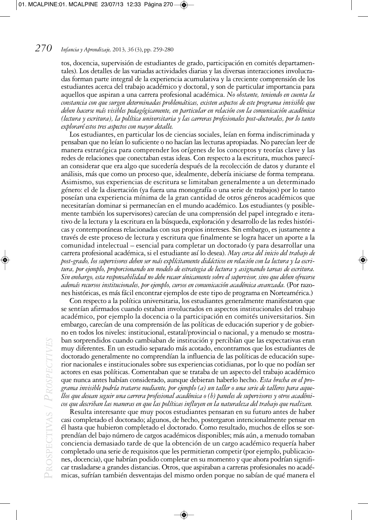tos, docencia, supervisión de estudiantes de grado, participación en comités departamentales). Los detalles de las variadas actividades diarias y las diversas interacciones involucradas forman parte integral de la experiencia acumulativa y la creciente comprensión de los estudiantes acerca del trabajo académico y doctoral, y son de particular importancia para aquellos que aspiran a una carrera profesional académica. *No obstante, teniendo en cuenta la constancia con que surgen determinadas problemáticas, existen aspectos de este programa invisible que deben hacerse más visibles pedagógicamente, en particular en relación con la comunicación académica (lectura y escritura), la política universitaria y las carreras profesionales post-doctorales, por lo tanto exploraré estos tres aspectos con mayor detalle.*

Los estudiantes, en particular los de ciencias sociales, leían en forma indiscriminada y pensaban que no leían lo suficiente o no hacían las lecturasapropiadas. No parecían leer de manera estratégica para comprender los orígenes de los conceptos y teorías clave y las redes de relaciones que conectaban estas ideas. Con respecto a la escritura, muchos parecían considerar que era algo que sucedería después de la recolección de datos y durante el análisis, más que como un proceso que, idealmente, debería iniciarse de forma temprana. Asimismo, sus experiencias de escritura se limitaban generalmente a un determinado género: el de la disertación (ya fuera una monografía o una serie de trabajos) por lo tanto poseían una experiencia mínima de la gran cantidad de otros géneros académicos que necesitarían dominar si permanecían en el mundo académico. Los estudiantes (y posiblemente también los supervisores) carecían de una comprensión del papel integrado e iterativo de la lectura y la escritura en la búsqueda, exploración y desarrollo de las redes históricas y contemporáneas relacionadas con sus propios intereses. Sin embargo, es justamente a través de este proceso de lectura y escritura que finalmente se logra hacer un aporte a la comunidad intelectual – esencial para completar un doctorado (y para desarrollar una carrera profesionalacadémica, sielestudianteasí lo desea). *Muycerca del inicio del trabajo de post-grado, los supervisores deben ser más explícitamente didácticos en relación con la lectura yla escritura, por ejemplo, proporcionando un modelo de estrategia de lectura y asignando tareas de escritura. Sin embargo, esta responsabilidad no debe recaer únicamente sobre el supervisor, sino que deben ofrecerse además recursos institucionales,por ejemplo, cursos en comunicación académica avanzada.* (Por razones históricas, es más fácil encontrar ejemplos de este tipo de programa en Norteamérica.)

Con respecto a la política universitaria, los estudiantes generalmente manifestaron que se sentían afirmados cuando estaban involucrados en aspectos institucionales del trabajo académico, por ejemplo la docencia o la participación en comités universitarios. Sin embargo, carecían de una comprensión de las políticas de educación superior y de gobierno en todos los niveles: institucional, estatal/provincial o nacional, y a menudo se mostraban sorprendidos cuando cambiaban de institución y percibían que las expectativas eran muy diferentes. En un estudio separado más acotado, encontramos que los estudiantes de doctorado generalmente no comprendían la influencia de las políticas de educación superior nacionales e institucionales sobre sus experiencias cotidianas, por lo que no podían ser actores en esas políticas. Comentaban que se trataba de un aspecto del trabajo académico que nunca antes habían considerado, aunque debieran haberlo hecho. *Esta brecha en el programa invisiblepodría tratarse mediante,por ejemplo (a) un taller o una serie de tallerespara aquellos que desean seguir una carrera profesional académica o (b)paneles de supervisoresyotros académicos que describan las maneras en que laspolíticas influyen en la naturaleza del trabajo que realizan.*

Resulta interesante que muy pocos estudiantes pensaran en su futuro antes de haber casi completado el doctorado; algunos, de hecho, postergaron intencionalmente pensar en él hasta que hubieron completado el doctorado. Como resultado, muchos de ellos se sorprendían del bajo número decargosacadémicos disponibles; másaún,a menudo tomaban conciencia demasiado tarde de que la obtención de un cargo académico requería haber completado unaserie derequisitos queles permitieran competir (porejemplo, publicaciones, docencia), que habrían podido completaren su momento y queahora podrían significar trasladarse a grandes distancias. Otros, que aspiraban a carreras profesionales no académicas, sufrían también desventajas del mismo orden porque no sabían de qué manera el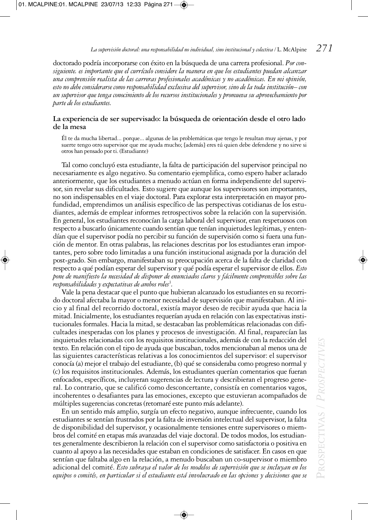doctorado podríaincorporarsecon éxito en la búsqueda de unacarrera profesional. *Por consiguiente. es importante que el currículo considere la manera en que los estudiantes puedan alcanzar una comprensión realista de las carreras profesionales académicas y no académicas. En mi opinión, esto no debe considerarse como responsabilidad exclusiva del supervisor, sino de la toda institución– con un supervisor que tenga conocimiento de los recursos institucionalesypromueva su aprovechamientopor parte de los estudiantes.*

#### **La experiencia de ser supervisado: la búsqueda de orientación desde el otro lado de la mesa**

Él te da mucha libertad... porque... algunas de las problemáticas que tengo le resultan muy ajenas, y por suerte tengo otro supervisor que me ayuda mucho; [además] eres tú quien debe defenderse y no sirve si otros han pensado por ti. (Estudiante)

Tal como concluyó esta estudiante, la falta de participación del supervisor principal no necesariamente es algo negativo. Su comentario ejemplifica, como espero haber aclarado anteriormente, que los estudiantes a menudo actúan en forma independiente del supervisor, sin revelar sus dificultades. Esto sugiere que aunque los supervisores son importantes, no son indispensables en el viaje doctoral. Para explorar esta interpretación en mayor profundidad, emprendimos un análisis específico de las perspectivas cotidianas de los estudiantes, además de emplear informes retrospectivos sobre la relación con la supervisión. En general, losestudiantes reconocían lacargalaboral del supervisor,eran respetuososcon respecto a buscarlo únicamente cuando sentían que tenían inquietudes legítimas, y entendían que el supervisor podía no percibir su función de supervisión como si fuera una función de mentor. En otras palabras, las relaciones descritas por los estudiantes eran importantes, pero sobre todo limitadas a una función institucional asignada por la duración del post-grado. Sin embargo, manifestaban su preocupación acerca de la falta de claridad con respecto a qué podían esperar del supervisor y qué podíaesperarel supervisor deellos. *Esto pone de manifiesto la necesidad de disponer de enunciados claros y fácilmente comprensibles sobre las responsabilidadesyexpectativas de ambos roles 3 .*

Vale la pena destacar que el punto que hubieran alcanzado los estudiantes en su recorrido doctoralafectabala mayor o menor necesidad desupervisión que manifestaban. Al inicio y al final del recorrido doctoral, existía mayor deseo de recibir ayuda que hacia la mitad. Inicialmente, los estudiantes requerían ayuda en relación con las expectativas institucionales formales. Hacia la mitad, se destacaban las problemáticas relacionadas con dificultades inesperadas con los planes y procesos de investigación. Al final, reaparecían las inquietudes relacionadas con los requisitos institucionales, además de con la redacción del texto. En relación con el tipo deayuda que buscaban, todos mencionaban al menos una de las siguientes características relativas a los conocimientos del supervisor: el supervisor conocía (a) mejor el trabajo del estudiante, (b) qué se consideraba como progreso normal y (c) los requisitos institucionales. Además, los estudiantes querían comentarios que fueran enfocados, específicos, incluyeran sugerencias de lectura y describieran el progreso general. Lo contrario, que se calificó como desconcertante, consistía en comentarios vagos, incoherentes o desafiantes para las emociones, excepto que estuvieran acompañados de múltiples sugerencias concretas (retomaré este punto más adelante).

En un sentido más amplio, surgía un efecto negativo, aunque infrecuente, cuando los estudiantes se sentían frustrados por la falta de inversión intelectual del supervisor, la falta de disponibilidad del supervisor, y ocasionalmente tensiones entre supervisores o miembros del comité en etapas más avanzadas del viaje doctoral. De todos modos, los estudiantes generalmente describieron la relación con el supervisor como satisfactoria o positiva en cuanto alapoyo alas necesidades queestaban en condiciones desatisfacer. En casosen que sentían que faltaba algo en la relación, a menudo buscaban un co-supervisor o miembro adicional del comité. *Esto subraya el valor de los modelos de supervisión que se incluyan en los equipos o comités, en particular si el estudiante está involucrado en las opciones y decisiones que se*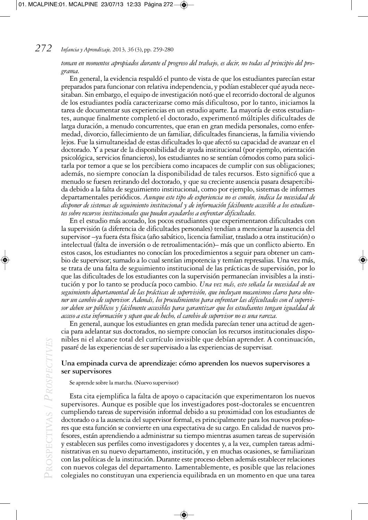#### *toman en momentos apropiados durante el progreso del trabajo, es decir, no todas al principio del programa.*

En general, la evidencia respaldó el punto de vista de que los estudiantes parecían estar preparados parafuncionarcon relativaindependencia, y podían establecer quéayuda necesitaban. Sin embargo, el equipo de investigación notó que el recorrido doctoral de algunos de los estudiantes podía caracterizarse como más dificultoso, por lo tanto, iniciamos la tarea de documentar sus experiencias en un estudio aparte. La mayoría de estos estudiantes, aunque finalmente completó el doctorado, experimentó múltiples dificultades de larga duración, a menudo concurrentes, que eran en gran medida personales, como enfermedad, divorcio, fallecimiento de un familiar, dificultades financieras, la familia viviendo lejos. Fue la simultaneidad de estas dificultades lo que afectó su capacidad de avanzar en el doctorado. Y a pesar de la disponibilidad de ayuda institucional (por ejemplo, orientación psicológica, servicios financieros), los estudiantes no se sentían cómodos como para solicitarla por temor a que se los percibiera como incapaces de cumplir con sus obligaciones; además, no siempre conocían la disponibilidad de tales recursos. Esto significó que a menudo se fuesen retirando del doctorado, y que su creciente ausencia pasara desapercibida debido a la falta de seguimiento institucional, como por ejemplo, sistemas de informes departamentales periódicos. *Aunque este tipo de experiencia no es común, indica la necesidad de disponer de sistemas de seguimiento institucional y de información fácilmente accesible a los estudiantes sobre recursos institucionales quepueden ayudarlos a enfrentar dificultades.*

En el estudio más acotado, los pocos estudiantes que experimentaron dificultades con la supervisión (a diferencia de dificultades personales) tendían a mencionar la ausencia del supervisor -ya fuera ésta física (año sabático, licencia familiar, traslado a otra institución) o intelectual (falta de inversión o de retroalimentación)– más que un conflicto abierto. En estos casos, los estudiantes no conocían los procedimientos a seguir para obtener un cambio desupervisor; sumado alo cual sentían impotencia y temían represalias. Una vez más, se trata de una falta de seguimiento institucional de las prácticas de supervisión, por lo que las dificultades de los estudiantes con la supervisión permanecían invisibles a la institución y por lo tanto se producía poco cambio. *Una vez más, esto señala la necesidad de un seguimiento departamental de lasprácticas de supervisión, que incluyan mecanismos clarospara obtener un cambio de supervisor. Además, losprocedimientospara enfrentar las dificultades con el supervisor deben ser públicos y fácilmente accesibles para garantizar que los estudiantes tengan igualdad de acceso a esta información ysepan que de hecho, el cambio de supervisor no es una rareza.*

En general, aunque los estudiantes en gran medida parecían tener una actitud de agencia para adelantar sus doctorados, no siempre conocían los recursos institucionales disponibles ni el alcance total del currículo invisible que debían aprender. A continuación, pasaré de las experiencias de ser supervisado a las experiencias de supervisar.

#### **Una empinada curva de aprendizaje: cómo aprenden los nuevos supervisores a ser supervisores**

Se aprende sobre la marcha. (Nuevo supervisor)

Esta cita ejemplifica la falta de apoyo o capacitación que experimentaron los nuevos supervisores. Aunque es posible que los investigadores post-doctorales se encuentren cumpliendo tareas de supervisión informal debido a su proximidad con los estudiantes de doctorado o alaausencia del supervisor formal,es principalmente paralos nuevos profesores que esta función se convierte en una expectativa de su cargo. En calidad de nuevos profesores, están aprendiendo a administrar su tiempo mientras asumen tareas de supervisión y establecen sus perfiles como investigadores y docentes y, a la vez, cumplen tareas administrativas en su nuevo departamento, institución, y en muchas ocasiones, se familiarizan con las políticas de la institución. Durante este proceso deben además establecer relaciones con nuevos colegas del departamento. Lamentablemente, es posible que las relaciones colegiales no constituyan una experiencia equilibrada en un momento en que una tarea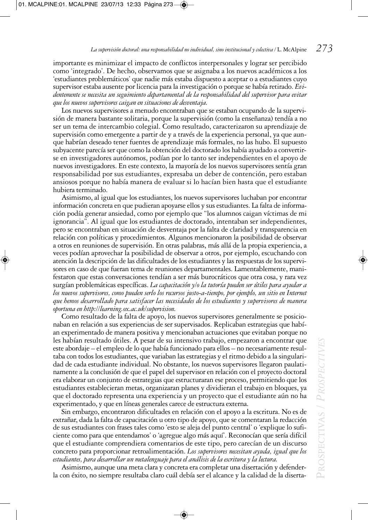importante es minimizar el impacto de conflictos interpersonales y lograr ser percibido como 'integrado'. De hecho, observamos que se asignaba a los nuevos académicos a los 'estudiantes problemáticos' que nadie más estaba dispuesto a aceptar o a estudiantes cuyo supervisorestabaausente por licencia paralainvestigación o porquese habíaretirado. *Evidentemente se necesita un seguimiento departamental de la responsabilidad del supervisor para evitar que los nuevos supervisores caigan en situaciones de desventaja.*

Los nuevos supervisores a menudo encontraban que se estaban ocupando de la supervisión de manera bastante solitaria, porque la supervisión (como la enseñanza) tendía a no ser un tema de intercambio colegial. Como resultado, caracterizaron su aprendizaje de supervisión como emergente a partir de y a través de la experiencia personal, ya que aunque habrían deseado tener fuentes de aprendizaje más formales, no las hubo. El supuesto subyacente parecía ser que como la obtención del doctorado los había ayudado a convertirse en investigadores autónomos, podían por lo tanto ser independientes en el apoyo de nuevos investigadores. En este contexto, la mayoría de los nuevos supervisores sentía gran responsabilidad por sus estudiantes, expresaba un deber de contención, pero estaban ansiosos porque no había manera de evaluar si lo hacían bien hasta que el estudiante hubiera terminado.

Asimismo, al igual que los estudiantes, los nuevos supervisores luchaban por encontrar información concreta en que pudieran apoyarse ellos y sus estudiantes. La falta de información podía generar ansiedad, como por ejemplo que "los alumnos caigan víctimas de mi ignorancia". Al igual que los estudiantes de doctorado, intentaban ser independientes, pero se encontraban en situación de desventaja por la falta de claridad y transparencia en relación con políticas y procedimientos. Algunos mencionaron la posibilidad de observar a otros en reuniones de supervisión. En otras palabras, más allá de la propia experiencia, a veces podían aprovechar la posibilidad de observar a otros, por ejemplo, escuchando con atención la descripción delas dificultades delosestudiantes y las respuestas delos supervisores en caso de que fueran tema de reuniones departamentales. Lamentablemente, manifestaron que estas conversaciones tendían a ser más burocráticos que otra cosa, y rara vez surgían problemáticasespecíficas. *La capacitación y/o la tutoría pueden ser útilespara ayudar a los nuevos supervisores, como pueden serlo los recursos justo-a-tiempo, por ejemplo, un sitio en Internet que hemos desarrollado para satisfacer las necesidades de los estudiantes y supervisores de manera oportuna en http://learning.ox.ac.uk/supervision.*

Como resultado de la falta de apoyo, los nuevos supervisores generalmente se posicionaban en relación a sus experiencias de ser supervisados. Replicaban estrategias que habían experimentado de manera positiva y mencionaban actuaciones que evitaban porque no les habían resultado útiles. A pesar de su intensivo trabajo, empezaron a encontrar que este abordaje – el empleo de lo que había funcionado para ellos – no necesariamente resultabacon todos losestudiantes, que variaban lasestrategias y el ritmo debido alasingularidad de cada estudiante individual. No obstante, los nuevos supervisores llegaron paulatinamente a la conclusión de que el papel del supervisor en relación con el proyecto doctoral era elaborar un conjunto de estrategias que estructuraran ese proceso, permitiendo que los estudiantes establecieran metas, organizaran planes y dividieran el trabajo en bloques, ya que el doctorado representa una experiencia y un proyecto que el estudiante aún no ha experimentado, y que en líneas generales carece de estructura externa.

Sin embargo, encontraron dificultades en relación con el apoyo a la escritura. No es de extrañar, dada la falta de capacitación u otro tipo de apoyo, que se comentaran la redacción de sus estudiantes con frases tales como 'esto se aleja del punto central' o 'explique lo suficiente como para que entendamos' o 'agregue algo más aquí'. Reconocían que sería difícil que el estudiante comprendiera comentarios de este tipo, pero carecían de un discurso concreto para proporcionar retroalimentación. *Los supervisores necesitan ayuda, igual que los estudiantes,para desarrollar un metalenguajepara el análisis de la escritura yla lectura.*

Asimismo, aunque una meta clara y concreta era completar una disertación y defenderla con éxito, no siempre resultaba claro cuál debía ser el alcance y la calidad de la diserta-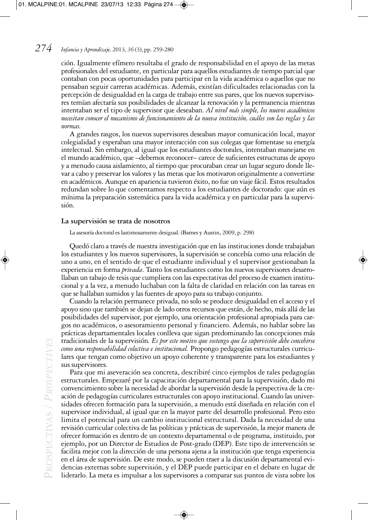ción. Igualmente efímero resultaba el grado de responsabilidad en el apoyo de las metas profesionales del estudiante, en particular para aquellos estudiantes de tiempo parcial que contaban con pocas oportunidades para participar en la vida académica o aquellos que no pensaban seguir carreras académicas. Además, existían dificultades relacionadas con la percepción de desigualdad en lacarga detrabajo entresus pares, quelos nuevos supervisores temían afectaría sus posibilidades de alcanzar la renovación y la permanencia mientras intentaban ser el tipo de supervisor que deseaban. *Al nivel más simple, los nuevos académicos necesitan conocer el mecanismo de funcionamiento de la nueva institución, cuáles son las reglas y las normas.*

A grandes rasgos, los nuevos supervisores deseaban mayor comunicación local, mayor colegialidad y esperaban una mayor interacción con sus colegas que fomentase su energía intelectual. Sin embargo, al igual que los estudiantes doctorales, intentaban manejarse en el mundo académico, que –debemos reconocer– carece de suficientes estructuras de apoyo y a menudo causa aislamiento, al tiempo que procuraban crear un lugar seguro donde llevar a cabo y preservar los valores y las metas que los motivaron originalmente a convertirse en académicos. Aunque en apariencia tuvieron éxito, no fue un viaje fácil. Estos resultados redundan sobre lo que comentamos respecto a los estudiantes de doctorado: que aún es mínima la preparación sistemática para la vida académica y en particular para la supervisión.

#### **La supervisión se trata de nosotros**

La asesoría doctoral es lastimosamente desigual. (Barnes y Austin, 2009, p. 298)

Quedó claro a través de nuestra investigación que en las instituciones donde trabajaban los estudiantes y los nuevos supervisores, la supervisión se concebía como una relación de uno a uno, en el sentido de que el estudiante individual y el supervisor gestionaban la experiencia en forma *privada*. Tanto los estudiantes como los nuevos supervisores desarrollaban un tabajo de tesis que cumpliera con las expectativas del proceso de examen institucional y a la vez, a menudo luchaban con la falta de claridad en relación con las tareas en que se hallaban sumidos y las fuentes de apoyo para su trabajo conjunto.

Cuando la relación permanece privada, no solo se produce desigualdad en el acceso y el apoyo sino quetambién se dejan delado otros recursos queestán, de hecho, másallá delas posibilidades del supervisor, por ejemplo, una orientación profesional apropiada para cargos no académicos, o asesoramiento personal y financiero. Además, no hablar sobre las prácticas departamentales locales conlleva que sigan predominando las concepciones más tradicionales de la supervisión*. Es por este motivo que sostengo que la supervisión debe concebirse como una responsabilidad colectiva e institucional.* Propongo pedagogías estructurales curriculares que tengan como objetivo un apoyo coherente y transparente para los estudiantes y sus supervisores.

Para que mi aseveración sea concreta, describiré cinco ejemplos de tales pedagogías estructurales. Empezaré por la capacitación departamental para la supervisión, dado mi convencimiento sobrela necesidad deabordar lasupervisión desdela perspectiva delacreación de pedagogías curriculares estructurales con apoyo institucional. Cuando las universidades ofrecen formación para la supervisión, a menudo está diseñada en relación con el supervisor individual, al igual que en la mayor parte del desarrollo profesional. Pero esto limita el potencial para un cambio institucional estructural. Dada la necesidad de una revisión curricular colectiva de las políticas y prácticas de supervisión, la mejor manera de ofrecer formación es dentro de un contexto departamental o de programa, instituido, por ejemplo, por un Director de Estudios de Post-grado (DEP). Este tipo de intervención se facilita mejor con la dirección de una persona ajena a la institución que tenga experiencia en el área de supervisión. De este modo, se pueden traer a la discusión departamental evidencias externas sobre supervisión, y el DEP puede participar en el debate en lugar de liderarlo. La meta es impulsar a los supervisores a comparar sus puntos de vista sobre los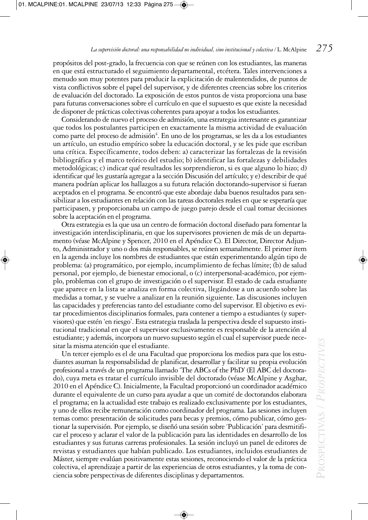propósitos del post-grado, lafrecuenciacon quesereúnen con losestudiantes, las maneras en que está estructurado el seguimiento departamental, etcétera. Tales intervenciones a menudo son muy potentes para producir la explicitación de malentendidos, de puntos de vista conflictivos sobre el papel del supervisor, y de diferentes creencias sobre los criterios de evaluación del doctorado. La exposición de estos puntos de vista proporciona una base para futuras conversaciones sobre el currículo en que el supuesto es que existe la necesidad de disponer de prácticas colectivas coherentes para apoyar a todos los estudiantes.

Considerando de nuevo el proceso de admisión, una estrategia interesante es garantizar que todos los postulantes participen en exactamente la misma actividad de evaluación como parte del proceso de admisión $^4$ . En uno de los programas, se les da a los estudiantes un artículo, un estudio empírico sobre la educación doctoral, y se les pide que escriban una crítica. Específicamente, todos deben: a) caracterizar las fortalezas de la revisión bibliográfica y el marco teórico del estudio; b) identificar las fortalezas y debilidades metodológicas; c) indicar qué resultados les sorprendieron, si es que alguno lo hizo; d) identificar qué les gustaría agregar a la sección Discusión del artículo; y e) describir de qué manera podrían aplicar los hallazgos a su futura relación doctorando-supervisor si fueran aceptados en el programa. Se encontró que este abordaje daba buenos resultados para sensibilizar a los estudiantes en relación con las tareas doctorales reales en que se esperaría que participasen, y proporcionaba un campo de juego parejo desde el cual tomar decisiones sobre la aceptación en el programa.

Otra estrategia es la que usa un centro de formación doctoral diseñado para fomentar la investigación interdisciplinaria, en que los supervisores provienen de más de un departamento (véase McAlpine y Spencer, 2010 en el Apéndice C). El Director, Director Adjunto, Administrador y uno o dos más responsables, sereúnen semanalmente. El primer ítem en la agenda incluye los nombres de estudiantes que están experimentando algún tipo de problema: (a) programático, por ejemplo, incumplimiento de fechas límite; (b) de salud personal, por ejemplo, de bienestar emocional, o (c) interpersonal-académico, por ejemplo, problemas con el grupo de investigación o el supervisor. El estado de cada estudiante que aparece en la lista se analiza en forma colectiva, llegándose a un acuerdo sobre las medidas a tomar, y se vuelve a analizar en la reunión siguiente. Las discusiones incluyen las capacidades y preferencias tanto del estudiante como del supervisor. El objetivo es evitar procedimientos disciplinarios formales, para contener a tiempo a estudiantes (y supervisores) que estén 'en riesgo'. Esta estrategia traslada la perspectiva desde el supuesto institucional tradicional en que el supervisor exclusivamente es responsable de la atención al estudiante; y además, incorpora un nuevo supuesto según el cual el supervisor puede necesitar la misma atención que el estudiante.

Un tercer ejemplo es el de una Facultad que proporciona los medios para que los estudiantes asuman la responsabilidad de planificar, desarrollar y facilitar su propia evolución profesionalatravés de un programallamado 'The ABCs of the PhD' (El ABC del doctorado), cuya meta es tratar el currículo invisible del doctorado (véase McAlpine y Asghar, 2010 en el Apéndice C). Inicialmente, la Facultad proporcionó un coordinadoracadémico durante el equivalente de un curso para ayudar a que un comité de doctorandos elaborara el programa; en la actualidad este trabajo es realizado exclusivamente por los estudiantes, y uno de ellos recibe remuneración como coordinador del programa. Las sesiones incluyen temas como: presentación de solicitudes para becas y premios, cómo publicar, cómo gestionar lasupervisión. Porejemplo, se diseñó unasesión sobre'Publicación' para desmitificar el proceso y aclarar el valor de la publicación para las identidades en desarrollo de los estudiantes y sus futuras carreras profesionales. La sesión incluyó un panel de editores de revistas y estudiantes que habían publicado. Los estudiantes, incluidos estudiantes de Máster, siempre evalúan positivamente estas sesiones, reconociendo el valor de la práctica colectiva, el aprendizaje a partir de las experiencias de otros estudiantes, y la toma de concienciasobre perspectivas de diferentes disciplinas y departamentos.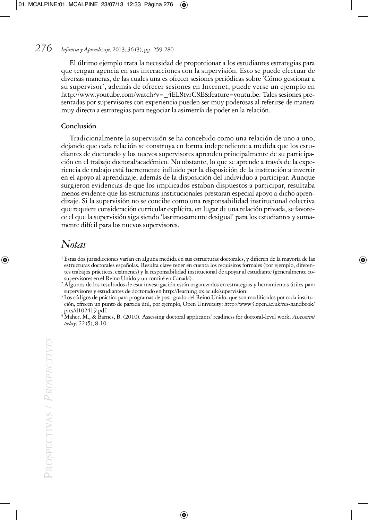El último ejemplo trata la necesidad de proporcionar a los estudiantes estrategias para que tengan agencia en sus interacciones con la supervisión. Esto se puede efectuar de diversas maneras, de las cuales una es ofrecer sesiones periódicas sobre 'Cómo gestionar a su supervisor', además de ofrecer sesiones en Internet; puede verse un ejemplo en http://www.youtube.com/watch?v=\_4EL8tvrC8E&feature=youtu.be. Tales sesiones presentadas por supervisores con experiencia pueden ser muy poderosas al referirse de manera muy directa a estrategias para negociar la asimetría de poder en la relación.

#### **Conclusión**

Tradicionalmente la supervisión se ha concebido como una relación de uno a uno, dejando que cada relación se construya en forma independiente a medida que los estudiantes de doctorado y los nuevos supervisores aprenden principalmente de su participación en el trabajo doctoral/académico. No obstante, lo que se aprende a través de la experiencia de trabajo está fuertemente influido por la disposición de la institución a invertir en el apoyo al aprendizaje, además de la disposición del individuo a participar. Aunque surgieron evidencias de que los implicados estaban dispuestos a participar, resultaba menos evidente que las estructuras institucionales prestaran especial apoyo a dicho aprendizaje. Si la supervisión no se concibe como una responsabilidad institucional colectiva que requiere consideración curricular explícita, en lugar de una relación privada, se favorece el que la supervisión siga siendo 'lastimosamente desigual' para los estudiantes y sumamente difícil paralos nuevos supervisores.

## *Notas*

<sup>1</sup> Estas dos jurisdicciones varían en alguna medida en sus estructuras doctorales, y difieren de la mayoría de las estructuras doctorales españolas. Resulta clave tener en cuenta los requisitos formales (por ejemplo, diferentes trabajos prácticos, exámenes) y la responsabilidad institucional de apoyar al estudiante (generalmente co-<br>supervisores en el Reino Unido y un comité en Canadá).

 $^2$  Algunos de los resultados de esta investigación están organizados en estrategias y herramientas útiles para<br>supervisores y estudiantes de doctorado en http://learning.ox.ac.uk/supervision.

<sup>3</sup> Los códigos de práctica para programas de post-grado del Reino Unido, que son modificados por cada institución, ofrecen un punto de partida útil, porejemplo, Open University: http://www3.open.ac.uk/res-handbook/

<sup>&</sup>lt;sup>4</sup> Maher, M., & Barnes, B. (2010). Assessing doctoral applicants' readiness for doctoral-level work. *Assessment today, 22* (5), 8-10.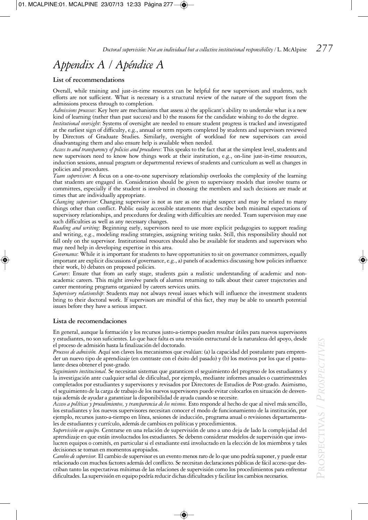# *Appendix A / Apéndice A*

#### **List of recommendations**

Overall, while training and just-in-time resources can be helpful for new supervisors and students, such efforts are not sufficient. What is necessary is a structural review of the nature of the support from the admissions process through to completion.

*Admissions processes*: Key here are mechanisms that assess a) the applicant's ability to undertake what is a new kind of learning (rather than past success) and b) the reasons for the candidate wishing to do the degree.

*Institutional oversight*: Systems of oversight are needed to ensure student progress is tracked and investigated at the earliest sign of difficulty, e.g., annual or term reports completed by students and supervisors reviewed by Directors of Graduate Studies. Similarly, oversight of workload for new supervisors can avoid disadvantaging them and also ensure help is available when needed.

*Access to and transparency of policies and procedures*: This speaks to the fact that at the simplest level, students and new supervisors need to know how things work at their institution, e.g., on-line just-in-time resources, induction sessions, annual program or departmental reviews of students and curriculum as well as changes in policies and procedures.

*Team supervision*: A focus on a one-to-one supervisory relationship overlooks the complexity of the learning that students are engaged in. Consideration should be given to supervisory models that involve teams or committees, especially if the student is involved in choosing the members and such decisions are made at times that are individually appropriate.

*Changing supervisor*: Changing supervisor is not as rare as one might suspect and may be related to many things other than conflict. Public easily accessible statements that describe both minimal expectations of supervisory relationships, and procedures for dealing with difficulties are needed. Team supervision may ease such difficulties as well as any necessary changes.

*Reading and writing*: Beginning early, supervisors need to use more explicit pedagogies to support reading and writing, e.g., modeling reading strategies, assigning writing tasks. Still, this responsibility should not fall only on the supervisor. Institutional resources should also be available for students and supervisors who may need help in developing expertise in this area.

Governance: While it is important for students to have opportunities to sit on governance committees, equally important are explicit discussions of governance, e.g., a) panels of academics discussing how policies influence their work, b) debates on proposed policies.

*Careers*: Ensure that from an early stage, students gain a realistic understanding of academic and nonacademic careers. This might involve panels of alumni returning to talk about their career trajectories and career mentoring programs organized by careers services units.

*Supervisory relationship*: Students may not always reveal issues which will influence the investment students bring to their doctoral work. If supervisors are mindful of this fact, they may be able to unearth potential issues before they have a serious impact.

#### **Lista de recomendaciones**

En general, aunque la formación y los recursos justo-a-tiempo pueden resultar útiles para nuevos supervisores y estudiantes, no son suficientes. Lo que hace falta es una revisión estructural de la naturaleza del apoyo, desde el proceso deadmisión hastalafinalización del doctorado.

*Procesos de admisión.* Aquí son claves los mecanismos que evalúan: (a) la capacidad del postulante para emprender un nuevo tipo de aprendizaje (en contraste con el éxito del pasado) y (b) los motivos por los que el postulante desea obtener el post-grado.

*Seguimiento institucional.* Se necesitan sistemas que garanticen el seguimiento del progreso de los estudiantes y la investigación ante cualquier señal de dificultad, por ejemplo, mediante informes anuales o cuatrimestrales completados por estudiantes y supervisores y revisados por Directores de Estudios de Post-grado. Asimismo, el seguimiento delacarga detrabajo delos nuevos supervisores puedeevitarcolocarlosen situación de desventaja además de ayudar a garantizar la disponibilidad de ayuda cuando se necesite.

*Acceso a políticasyprocedimientos,ytransparencia de los mismos.* Esto respondeal hecho de queal nivel más sencillo, los estudiantes y los nuevos supervisores necesitan conocer el modo de funcionamiento de la institución, por ejemplo, recursos justo-a-tiempo en línea, sesiones de inducción, programa anual o revisiones departamentales de estudiantes y currículo, además de cambios en políticas y procedimientos.

*Supervisión en equipo.* Centrarse en una relación de supervisión de uno a uno deja de lado la complejidad del aprendizaje en que están involucrados los estudiantes. Se debenn considerar modelos de supervisión que involucren equipos o comités, en particular si el estudiante está involucrado en la elección de los miembros y tales decisiones se toman en momentos apropiados.

*Cambio de supervisor.* El cambio de supervisor es un evento menos raro de lo que uno podría suponer, y puede estar relacionado con muchos factores además del conflicto. Se necesitan declaraciones públicas de fácil acceso que describan tanto las expectativas mínimas de las relaciones de supervisión como los procedimientos para enfrentar dificultades. La supervisión en equipo podría reducir dichas dificultades y facilitar los cambios necesarios.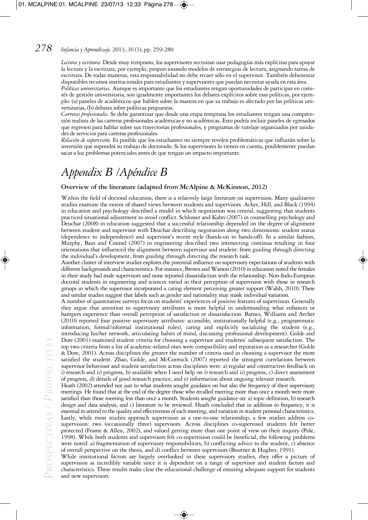*Lectura yescritura.* Desde muy temprano, los supervisores necesitan usar pedagogías másexplícitas paraapoyar la lectura y la escritura, por ejemplo, proporcionando modelos de estrategias de lectura, asignando tareas de escritura. De todas maneras, esta responsabilidad no debe recaer sólo en el supervisor. También debenestar disponibles recursos institucionales para estudiantes y supervisores que puedan necesitar ayuda en esta área. *Políticas universitarias.* Aunque es importante que los estudiantes tengan oportunidades de participar en comités de gestión universitaria, son igualmente importantes los debates explícitos sobre esas políticas, por ejemplo: (a) paneles de académicos que hablen sobre la manera en que su trabajo es afectado por las políticas uni-

versitarias, (b) debates sobre políticas propuestas. *Carreras profesionales.* Se debe garantizar que desde una etapa temprana los estudiantes tengan una comprensión realista de las carreras profesionales académicas y no académicas. Esto podría incluir paneles de egresados que regresen para hablar sobre sus trayectorias profesionales, y programas de tutelaje organizados por unidades de servicios para carreras profesionales.

*Relación de supervisión.* Es posible que los estudiantes no siempre revelen problemáticas que influirán sobre la inversión que supondrá su trabajo de doctorado. Si los supervisores lo tienen en cuenta, posiblemente puedan sacar a luz problemas potenciales antes de que tengan un impacto importante.

# *Appendix B /Apéndice B*

#### **Overview of the literature (adapted from McAlpine & McKinnon, 2012)**

Within the field of doctoral education, there is a relatively large literature on supervision. Many qualitative studies examine the extent of shared views between students and supervisors. Acker, Hill, and Black (1994) in education and psychology described a model in which negotiation was central, suggesting that students practiced situational adjustment to avoid conflict. Schlosser and Kahn (2007) in counselling psychology and Deuchar (2008) in education suggested that a successful relationship depended on the degree of alignment between student and supervisor with Deuchar describing negotiation along two dimensions: student status (dependence to independence) and supervisor's recent style (hands-on to hands-off). In a similar fashion, Murphy, Bain and Conrad (2007) in engineering described two intersecting continua resulting in four orientations that influenced the alignment between supervisor and student: from guiding through directing the individual's development, from guiding through directing the research task.

Another cluster of interview studies explores the potential influence on supervisory expectations of students with different backgrounds and characteristics. For instance, Brown and Watson (2010) in education noted the females in their study had male supervisors and none reported dissatisfaction with the relationship. Non-Indo-European doctoral students in engineering and sciences varied in their perception of supervision with those in research groups in which the supervisor incorporated a caring element perceiving greater support (Walsh, 2010). These and similar studies suggest that labels such as gender and nationality may mask individual variation.

A number of quantitative surveys focus on students' experiences of positive features of supervision. Generally they argue that attention to supervisory attributes is more helpful in understanding what enhances or hampers experience than overall perception of satisfaction or dissatisfaction. Barnes, Williams and Archer (2010) reported four positive supervisory attributes: accessible, institutionally helpful (e.g., programmatic information, formal/informal institutional rules), caring and explicitly socializing the student (e.g., introducing his/her network, articulating habits of mind, discussing professional development). Golde and Dore (2001) examined student criteria for choosing a supervisor and students' subsequent satisfaction. The top two criteria from a list of academic-related ones were compatibility and reputation as a researcher (Golde & Dore, 2001). Across disciplines the greater the number of criteria used in choosing a supervisor the more satisfied the student. Zhao, Golde, and McCormick (2007) reported the strongest correlations between supervisor behaviour and student satisfaction across disciplines were: a) regular and constructive feedback on i) research and ii) progress, b) available when I need help on i) research and ii) progress, c) direct assessment of progress, d) details of good research practice, and e) information about ongoing relevant research.

Heath (2002) attended not just to what students sought guidance on but also the frequency of their supervisory meetings. He found that at the end of the degree those who recalled meeting more than once a month were more satisfied than those meeting less than once a month. Students sought guidance on: a) topic definition, b) research design and data analysis, and c) literature to be reviewed. Heath concluded that in addition to frequency, it is essential to attend to the quality and effectiveness of each meeting, and variation in student personal characteristics. Lastly, while most studies approach supervision as a one-to-one relationship, a few studies address cosupervision: two (occasionally three) supervisors. Across disciplines co-supervised students felt better protected (Frame & Allen, 2002), and valued getting more than one point of view on their inquiry (Pole, 1998). While both students and supervisors felt co-supervision could be beneficial, the following problems were noted: a) fragmentation of supervisory responsibilities, b) conflicting advice to the student, c) absence of overall perspective on the thesis, and d) conflict between supervisors (Bourner & Hughes, 1991).

While institutional factors are largely overlooked in these supervisory studies, they offer a picture of supervision as incredibly variable since it is dependent on a range of supervisor and student factors and characteristics. These results make clear the educational challenge of ensuring adequate support for students and new supervisors.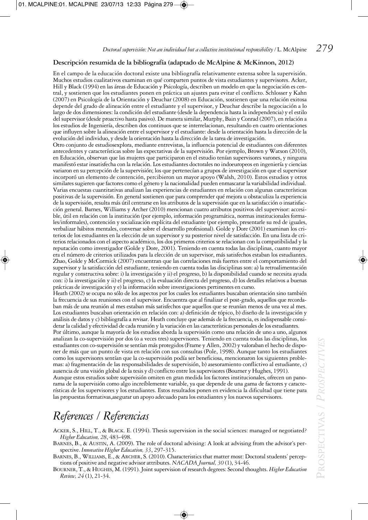#### **Descripción resumida de la bibliografía (adaptado de McAlpine & McKinnon, 2012)**

En el campo de la educación doctoral existe una bibliografía relativamente extensa sobre la supervisión. Muchos estudios cualitativos examinan en qué comparten puntos de vista estudiantes y supervisores. Acker, Hill y Black (1994) en las áreas de Educación y Psicología, describen un modelo en que la negociación es central, y sostienen que los estudiantes ponen en práctica un ajustes para evitar el conflicto. Schlosser y Kahn (2007) en Psicología de la Orientación y Deuchar (2008) en Educación, sostienen que una relación exitosa depende del grado de alineación entre el estudiante y el supervisor, y Deuchar describe la negociación a lo largo de dos dimensiones: la condición del estudiante (desde la dependencia hasta la independencia) y el estilo del supervisor (desde proactivo hasta pasivo). De manera similar, Murphy, Bain y Conrad (2007), en relación a los estudios de Ingeniería, describen dos continuos que se interrelacionan, resultando en cuatro orientaciones que influyen sobre la alineación entre el supervisor y el estudiante: desde la orientación hasta la dirección de la evolución del individuo, y desdela orientación hastala dirección delatarea deinvestigación.

Otro conjunto de estudiosexplora, mediante entrevistas, la influencia potencial de estudiantes con diferentes antecedentes y características sobre las expectativas de la supervisión. Por ejemplo, Brown y Watson (2010), en Educación, observan que las mujeres que participaron en el estudio tenían supervisores varones, y ninguna manifestó estar insatisfechacon larelación. Losestudiantes doctorales no indoeuropeosen ingeniería y ciencias variaron en su percepción de la supervisión; los que pertenecían a grupos de investigación en que el supervisor incorporó un elemento de contención, percibieron un mayor apoyo (Walsh, 2010). Estos estudios y otros similares sugieren que factores como el género y la nacionalidad pueden enmascarar la variabilidad individual. Varias encuestas cuantitativas analizan las experiencias de estudiantes en relación con algunas características positivas de la supervisión. En general sostienen que para comprender qué mejora u obstaculiza la experiencia de la supervisión, resulta más útil centrarse en los atributos de la supervisión que en la satisfacción o insatisfacción general. Barnes, Williams y Archer (2010) mencionan cuatro atributos positivos del supervisor: accesible, útilen relación con la institución (porejemplo, información programática, normas institucionales formales/informales), contención y socialización explícita del estudiante (por ejemplo, presentarle su red de iguales, verbalizar hábitos mentales, conversar sobre el desarrollo profesional). Golde y Dore (2001) examinan los criterios de los estudiantes en la elección de un supervisor y su posterior nivel de satisfacción. En una lista de criterios relacionadoscon elaspecto académico, los dos primeroscriterios serelacionan con lacompatibilidad y la reputación como investigador (Golde y Dore, 2001). Teniendo en cuenta todas las disciplinas, cuanto mayor era el número de criterios utilizados para la elección de un supervisor, más satisfechos estaban los estudiantes. Zhao, Golde y McCormick (2007) encuentran que las correlaciones más fuertes entre el comportamiento del supervisor y la satisfacción del estudiante, teniendo en cuenta todas las disciplinas son: a) la retroalimentación regular y constructiva sobre: i) la investigación y ii) el progreso, b) la disponibilidad cuando se necesita ayuda con: i) la investigación y ii) el progreso, c) la evaluación directa del progreso, d) los detalles relativos a buenas prácticas de investigación y e) la información sobre investigaciones pertinentes en curso.

Heath (2002) se ocupa no sólo de los aspectos por los cuales los estudiantes buscaban orientación sino también la frecuencia de sus reuniones con el supervisor. Encuentra que al finalizar el post-grado, aquellos que recordaban más de una reunión al mes estaban más satisfechos que aquellos que se reunían menos de una vez al mes. Los estudiantes buscaban orientación en relación con: a) definición de tópico, b) diseño de la investigación y análisis de datos y c) bibliografía a revisar. Heath concluye que además de la frecuencia, es indispensable considerar la calidad y efectividad de cada reunión y la variación en las características personales de los estudiantes.

Por último, aunque la mayoría de los estudios aborda la supervisión como una relación de uno a uno, algunos analizan la co-supervisión por dos (o a veces tres) supervisores. Teniendo en cuenta todas las disciplinas, los estudiantes con co-supervisión se sentían más protegidos (Frame y Allen, 2002) y valoraban el hecho de disponer de más que un punto de vista en relación con sus consultas (Pole, 1998). Aunque tanto los estudiantes como los supervisores sentían que la co-supervisión podía ser beneficiosa, mencionaron los siguientes problemas: a) fragmentación de las responsabilidades de supervisión, b) asesoramiento conflictivo al estudiante, c) ausencia de una visión global de la tesis y d) conflicto entre los supervisores (Bourner y Hughes, 1991).

Aunque estos estudios sobre supervisión omiten en gran medida los factores institucionales, ofrecen un panorama de la supervisión como algo increíblemente variable, ya que depende de una gama de factores y características de los supervisores y los estudiantes. Estos resultados ponen en evidencia la dificultad que tiene para las propuestas formativas,asegurar un apoyo adecuado paralosestudiantes y los nuevos supervisores.

# *References / Referencias*

ACKER, S., HILL, T., & BLACK. E. (1994). Thesis supervision in the social sciences: managed or negotiated? *Higher Education, 28*, 483-498.

- BARNES, B., WILLIAMS, E., & ARCHER, S. (2010). Characteristics that matter most: Doctoral students' perceptions of positive and negative advisor attributes. *NACADA Journal*,  $30(1)$ ,  $34-46$ .
- BOURNER, T., & HUGHES, M. (1991). Joint supervision of research degrees: Second thoughts. *Higher Education Review, 24* (1), 21-34.

BARNES, B., & AUSTIN, A. (2009). The role of doctoral advising: A look at advising from the advisor's perspective. *Innovative Higher Education, 33*, 297-315.